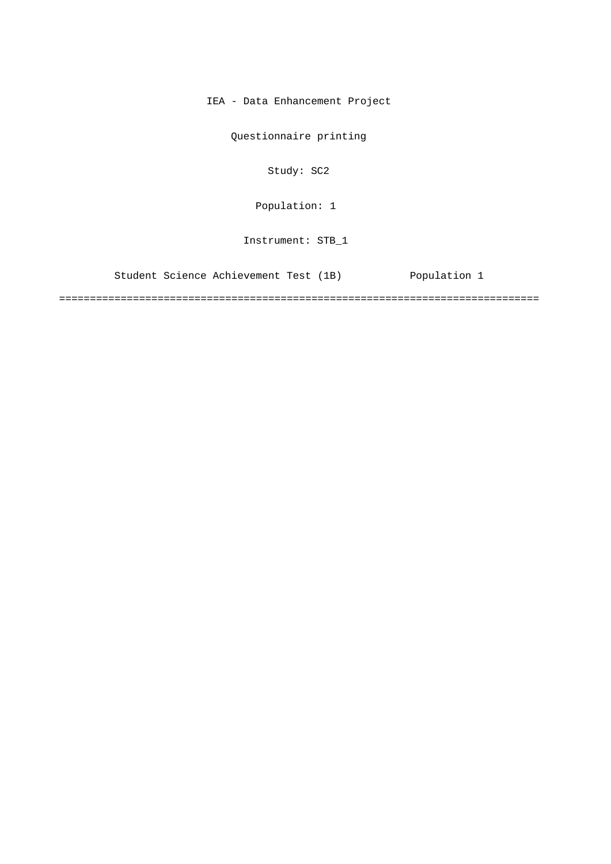IEA - Data Enhancement Project

Questionnaire printing

Study: SC2

Population: 1

Instrument: STB\_1

Student Science Achievement Test (1B) Population 1

==============================================================================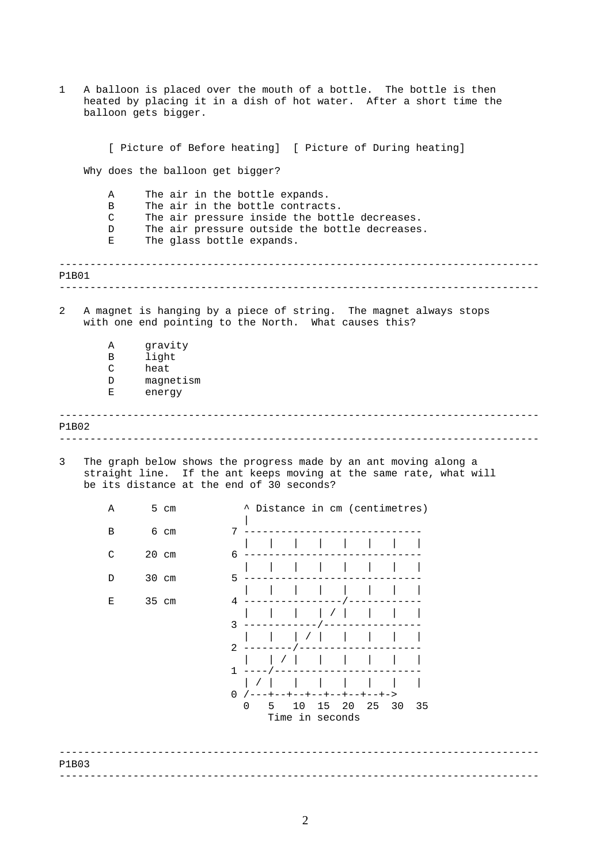| 1<br>A balloon is placed over the mouth of a bottle. The bottle is then<br>heated by placing it in a dish of hot water. After a short time the<br>balloon gets bigger. |                                                                                                                                                                                     |                                                 |                                                                                                                                                                                                    |  |
|------------------------------------------------------------------------------------------------------------------------------------------------------------------------|-------------------------------------------------------------------------------------------------------------------------------------------------------------------------------------|-------------------------------------------------|----------------------------------------------------------------------------------------------------------------------------------------------------------------------------------------------------|--|
|                                                                                                                                                                        | [ Picture of Before heating] [ Picture of During heating]<br>Why does the balloon get bigger?                                                                                       |                                                 |                                                                                                                                                                                                    |  |
|                                                                                                                                                                        |                                                                                                                                                                                     |                                                 |                                                                                                                                                                                                    |  |
|                                                                                                                                                                        | Α<br>B<br>C<br>D<br>Е                                                                                                                                                               |                                                 | The air in the bottle expands.<br>The air in the bottle contracts.<br>The air pressure inside the bottle decreases.<br>The air pressure outside the bottle decreases.<br>The glass bottle expands. |  |
| P1B01                                                                                                                                                                  |                                                                                                                                                                                     |                                                 |                                                                                                                                                                                                    |  |
| 2                                                                                                                                                                      | A magnet is hanging by a piece of string. The magnet always stops<br>with one end pointing to the North. What causes this?                                                          |                                                 |                                                                                                                                                                                                    |  |
|                                                                                                                                                                        | Α<br>В<br>C<br>D<br>Е                                                                                                                                                               | gravity<br>light<br>heat<br>magnetism<br>energy |                                                                                                                                                                                                    |  |
| P1B02                                                                                                                                                                  |                                                                                                                                                                                     |                                                 | ____________                                                                                                                                                                                       |  |
| 3                                                                                                                                                                      | The graph below shows the progress made by an ant moving along a<br>straight line. If the ant keeps moving at the same rate, what will<br>be its distance at the end of 30 seconds? |                                                 |                                                                                                                                                                                                    |  |
|                                                                                                                                                                        | Α                                                                                                                                                                                   | 5 cm                                            | ^ Distance in cm (centimetres)                                                                                                                                                                     |  |
|                                                                                                                                                                        | В                                                                                                                                                                                   | 6 cm                                            | $7 - -$<br>the contract of the contract of                                                                                                                                                         |  |
|                                                                                                                                                                        | $\mathsf{C}$                                                                                                                                                                        | 20 cm                                           | 6 –                                                                                                                                                                                                |  |
|                                                                                                                                                                        | D                                                                                                                                                                                   | 30 cm                                           | 5.                                                                                                                                                                                                 |  |
|                                                                                                                                                                        | Е                                                                                                                                                                                   | 35 cm                                           | 4<br>3                                                                                                                                                                                             |  |
|                                                                                                                                                                        |                                                                                                                                                                                     |                                                 | $2 - - - -$                                                                                                                                                                                        |  |
|                                                                                                                                                                        |                                                                                                                                                                                     |                                                 | $1 - - - - - -$                                                                                                                                                                                    |  |
|                                                                                                                                                                        |                                                                                                                                                                                     |                                                 | 0 /---+--+--+--+--+--+--+-><br>5 10 15 20 25 30 35<br>0<br>Time in seconds                                                                                                                         |  |
| P1B03                                                                                                                                                                  |                                                                                                                                                                                     |                                                 |                                                                                                                                                                                                    |  |
|                                                                                                                                                                        |                                                                                                                                                                                     |                                                 |                                                                                                                                                                                                    |  |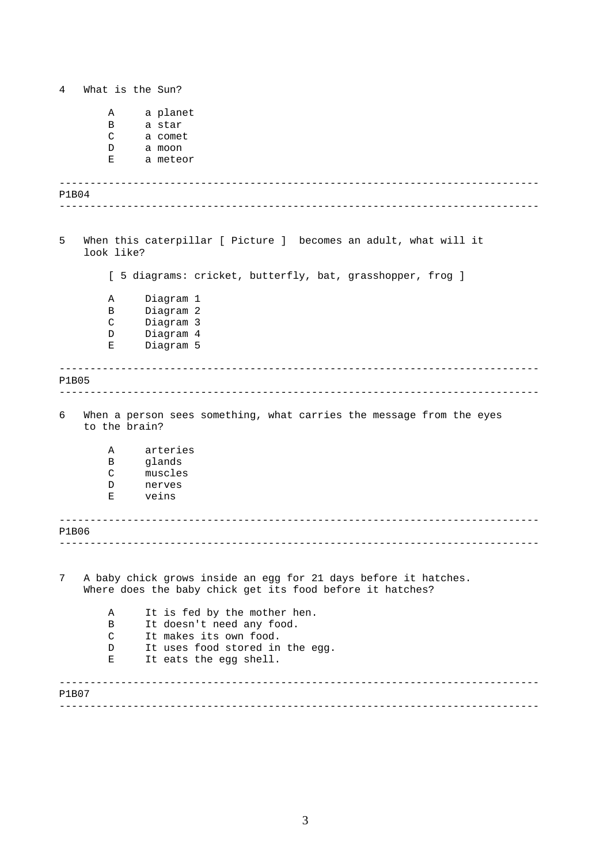------------------------------------------------------------------------------ ------------------------------------------------------------------------------ ------------------------------------------------------------------------------ ------------------------------------------------------------------------------ ------------------------------------------------------------------------------ ------------------------------------------------------------------------------ ------------------------------------------------------------------------------ ------------------------------------------------------------------------------ 4 What is the Sun? A a planet B a star C a comet D a moon E a meteor P1B04 5 When this caterpillar [ Picture ] becomes an adult, what will it look like? [ 5 diagrams: cricket, butterfly, bat, grasshopper, frog ] A Diagram 1 B Diagram 2 C Diagram 3 D Diagram 4 E Diagram 5 P1B05 6 When a person sees something, what carries the message from the eyes to the brain? A arteries B glands C muscles D nerves E veins P1B06 7 A baby chick grows inside an egg for 21 days before it hatches. Where does the baby chick get its food before it hatches? A It is fed by the mother hen. B It doesn't need any food. C It makes its own food. D It uses food stored in the eqq. E It eats the egg shell. P1B07